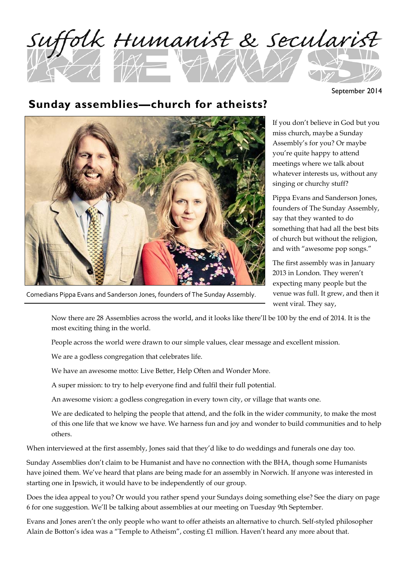

September 2014

### **Sunday assemblies—church for atheists?**



Comedians Pippa Evans and Sanderson Jones, founders of The Sunday Assembly.

If you don't believe in God but you miss church, maybe a Sunday Assembly's for you? Or maybe you're quite happy to attend meetings where we talk about whatever interests us, without any singing or churchy stuff?

Pippa Evans and Sanderson Jones, founders of The Sunday Assembly, say that they wanted to do something that had all the best bits of church but without the religion, and with "awesome pop songs."

The first assembly was in January 2013 in London. They weren't expecting many people but the venue was full. It grew, and then it went viral. They say,

Now there are 28 Assemblies across the world, and it looks like there'll be 100 by the end of 2014. It is the most exciting thing in the world.

People across the world were drawn to our simple values, clear message and excellent mission.

We are a godless congregation that celebrates life.

We have an awesome motto: Live Better, Help Often and Wonder More.

A super mission: to try to help everyone find and fulfil their full potential.

An awesome vision: a godless congregation in every town city, or village that wants one.

We are dedicated to helping the people that attend, and the folk in the wider community, to make the most of this one life that we know we have. We harness fun and joy and wonder to build communities and to help others.

When interviewed at the first assembly, Jones said that they'd like to do weddings and funerals one day too.

Sunday Assemblies don't claim to be Humanist and have no connection with the BHA, though some Humanists have joined them. We've heard that plans are being made for an assembly in Norwich. If anyone was interested in starting one in Ipswich, it would have to be independently of our group.

Does the idea appeal to you? Or would you rather spend your Sundays doing something else? See the diary on page 6 for one suggestion. We'll be talking about assemblies at our meeting on Tuesday 9th September.

Evans and Jones aren't the only people who want to offer atheists an alternative to church. Self-styled philosopher Alain de Botton's idea was a "Temple to Atheism", costing £1 million. Haven't heard any more about that.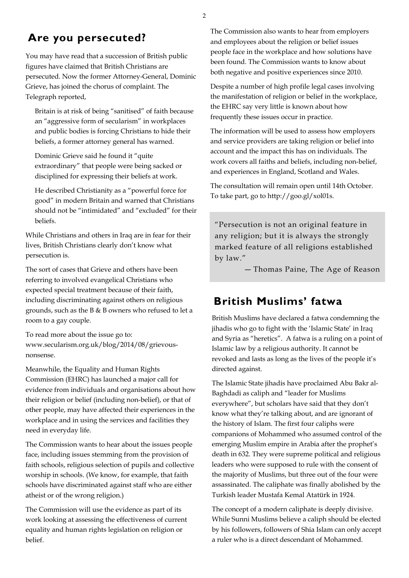#### **Are you persecuted?**

You may have read that a succession of British public figures have claimed that British Christians are persecuted. Now the former Attorney-General, Dominic Grieve, has joined the chorus of complaint. The Telegraph reported,

Britain is at risk of being "sanitised" of faith because an "aggressive form of secularism" in workplaces and public bodies is forcing Christians to hide their beliefs, a former attorney general has warned.

Dominic Grieve said he found it "quite extraordinary" that people were being sacked or disciplined for expressing their beliefs at work.

He described Christianity as a "powerful force for good" in modern Britain and warned that Christians should not be "intimidated" and "excluded" for their beliefs.

While Christians and others in Iraq are in fear for their lives, British Christians clearly don't know what persecution is.

The sort of cases that Grieve and others have been referring to involved evangelical Christians who expected special treatment because of their faith, including discriminating against others on religious grounds, such as the B & B owners who refused to let a room to a gay couple.

To read more about the issue go to: www.secularism.org.uk/blog/2014/08/grievousnonsense.

Meanwhile, the Equality and Human Rights Commission (EHRC) has launched a major call for evidence from individuals and organisations about how their religion or belief (including non-belief), or that of other people, may have affected their experiences in the workplace and in using the services and facilities they need in everyday life.

The Commission wants to hear about the issues people face, including issues stemming from the provision of faith schools, religious selection of pupils and collective worship in schools. (We know, for example, that faith schools have discriminated against staff who are either atheist or of the wrong religion.)

The Commission will use the evidence as part of its work looking at assessing the effectiveness of current equality and human rights legislation on religion or belief.

The Commission also wants to hear from employers and employees about the religion or belief issues people face in the workplace and how solutions have been found. The Commission wants to know about both negative and positive experiences since 2010.

Despite a number of high profile legal cases involving the manifestation of religion or belief in the workplace, the EHRC say very little is known about how frequently these issues occur in practice.

The information will be used to assess how employers and service providers are taking religion or belief into account and the impact this has on individuals. The work covers all faiths and beliefs, including non-belief, and experiences in England, Scotland and Wales.

The consultation will remain open until 14th October. To take part, go to http://goo.gl/xol01s.

"Persecution is not an original feature in any religion; but it is always the strongly marked feature of all religions established by law."

― Thomas Paine, The Age of Reason

#### **British Muslims' fatwa**

British Muslims have declared a fatwa condemning the jihadis who go to fight with the 'Islamic State' in Iraq and Syria as "heretics". A fatwa is a ruling on a point of Islamic law by a religious authority. It cannot be revoked and lasts as long as the lives of the people it's directed against.

The Islamic State jihadis have proclaimed Abu Bakr al-Baghdadi as caliph and "leader for Muslims everywhere", but scholars have said that they don't know what they're talking about, and are ignorant of the history of Islam. The first four caliphs were companions of Mohammed who assumed control of the emerging Muslim empire in Arabia after the prophet's death in 632. They were supreme political and religious leaders who were supposed to rule with the consent of the majority of Muslims, but three out of the four were assassinated. The caliphate was finally abolished by the Turkish leader Mustafa Kemal Atatürk in 1924.

The concept of a modern caliphate is deeply divisive. While Sunni Muslims believe a caliph should be elected by his followers, followers of Shia Islam can only accept a ruler who is a direct descendant of Mohammed.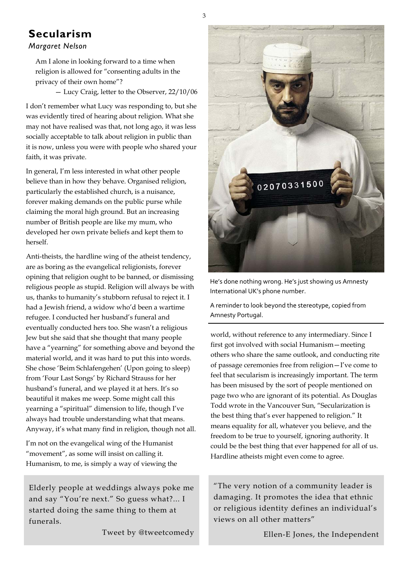#### **Secularism**

#### *Margaret Nelson*

Am I alone in looking forward to a time when religion is allowed for "consenting adults in the privacy of their own home"?

— Lucy Craig, letter to the Observer, 22/10/06

I don't remember what Lucy was responding to, but she was evidently tired of hearing about religion. What she may not have realised was that, not long ago, it was less socially acceptable to talk about religion in public than it is now, unless you were with people who shared your faith, it was private.

In general, I'm less interested in what other people believe than in how they behave. Organised religion, particularly the established church, is a nuisance, forever making demands on the public purse while claiming the moral high ground. But an increasing number of British people are like my mum, who developed her own private beliefs and kept them to herself.

Anti-theists, the hardline wing of the atheist tendency, are as boring as the evangelical religionists, forever opining that religion ought to be banned, or dismissing religious people as stupid. Religion will always be with us, thanks to humanity's stubborn refusal to reject it. I had a Jewish friend, a widow who'd been a wartime refugee. I conducted her husband's funeral and eventually conducted hers too. She wasn't a religious Jew but she said that she thought that many people have a "yearning" for something above and beyond the material world, and it was hard to put this into words. She chose 'Beim Schlafengehen' (Upon going to sleep) from 'Four Last Songs' by Richard Strauss for her husband's funeral, and we played it at hers. It's so beautiful it makes me weep. Some might call this yearning a "spiritual" dimension to life, though I've always had trouble understanding what that means. Anyway, it's what many find in religion, though not all.

I'm not on the evangelical wing of the Humanist "movement", as some will insist on calling it. Humanism, to me, is simply a way of viewing the

Elderly people at weddings always poke me and say "You're next." So guess what?... I started doing the same thing to them at funerals.

Tweet by @tweetcomedy



He's done nothing wrong. He's just showing us Amnesty International UK's phone number.

A reminder to look beyond the stereotype, copied from Amnesty Portugal.

world, without reference to any intermediary. Since I first got involved with social Humanism—meeting others who share the same outlook, and conducting rite of passage ceremonies free from religion—I've come to feel that secularism is increasingly important. The term has been misused by the sort of people mentioned on page two who are ignorant of its potential. As Douglas Todd wrote in the Vancouver Sun, "Secularization is the best thing that's ever happened to religion." It means equality for all, whatever you believe, and the freedom to be true to yourself, ignoring authority. It could be the best thing that ever happened for all of us. Hardline atheists might even come to agree.

"The very notion of a community leader is damaging. It promotes the idea that ethnic or religious identity defines an individual's views on all other matters"

Ellen-E Jones, the Independent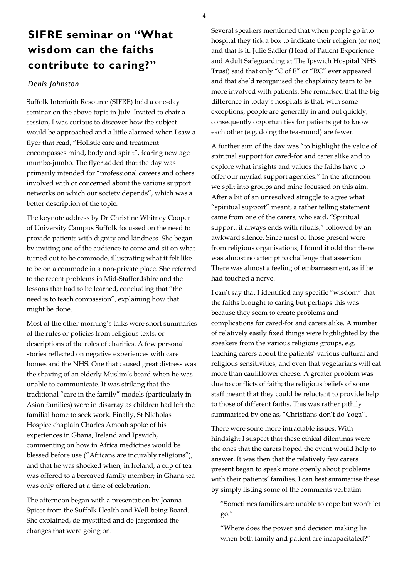## **SIFRE seminar on "What wisdom can the faiths contribute to caring?"**

#### *Denis Johnston*

Suffolk Interfaith Resource (SIFRE) held a one-day seminar on the above topic in July. Invited to chair a session, I was curious to discover how the subject would be approached and a little alarmed when I saw a flyer that read, "Holistic care and treatment encompasses mind, body and spirit", fearing new age mumbo-jumbo. The flyer added that the day was primarily intended for "professional careers and others involved with or concerned about the various support networks on which our society depends", which was a better description of the topic.

The keynote address by Dr Christine Whitney Cooper of University Campus Suffolk focussed on the need to provide patients with dignity and kindness. She began by inviting one of the audience to come and sit on what turned out to be commode, illustrating what it felt like to be on a commode in a non-private place. She referred to the recent problems in Mid-Staffordshire and the lessons that had to be learned, concluding that "the need is to teach compassion", explaining how that might be done.

Most of the other morning's talks were short summaries of the rules or policies from religious texts, or descriptions of the roles of charities. A few personal stories reflected on negative experiences with care homes and the NHS. One that caused great distress was the shaving of an elderly Muslim's beard when he was unable to communicate. It was striking that the traditional "care in the family" models (particularly in Asian families) were in disarray as children had left the familial home to seek work. Finally, St Nicholas Hospice chaplain Charles Amoah spoke of his experiences in Ghana, Ireland and Ipswich, commenting on how in Africa medicines would be blessed before use ("Africans are incurably religious"), and that he was shocked when, in Ireland, a cup of tea was offered to a bereaved family member; in Ghana tea was only offered at a time of celebration.

The afternoon began with a presentation by Joanna Spicer from the Suffolk Health and Well-being Board. She explained, de-mystified and de-jargonised the changes that were going on.

Several speakers mentioned that when people go into hospital they tick a box to indicate their religion (or not) and that is it. Julie Sadler (Head of Patient Experience and Adult Safeguarding at The Ipswich Hospital NHS Trust) said that only "C of E" or "RC" ever appeared and that she'd reorganised the chaplaincy team to be more involved with patients. She remarked that the big difference in today's hospitals is that, with some exceptions, people are generally in and out quickly; consequently opportunities for patients get to know each other (e.g. doing the tea-round) are fewer.

A further aim of the day was "to highlight the value of spiritual support for cared-for and carer alike and to explore what insights and values the faiths have to offer our myriad support agencies." In the afternoon we split into groups and mine focussed on this aim. After a bit of an unresolved struggle to agree what "spiritual support" meant, a rather telling statement came from one of the carers, who said, "Spiritual support: it always ends with rituals," followed by an awkward silence. Since most of those present were from religious organisations, I found it odd that there was almost no attempt to challenge that assertion. There was almost a feeling of embarrassment, as if he had touched a nerve.

I can't say that I identified any specific "wisdom" that the faiths brought to caring but perhaps this was because they seem to create problems and complications for cared-for and carers alike. A number of relatively easily fixed things were highlighted by the speakers from the various religious groups, e.g. teaching carers about the patients' various cultural and religious sensitivities, and even that vegetarians will eat more than cauliflower cheese. A greater problem was due to conflicts of faith; the religious beliefs of some staff meant that they could be reluctant to provide help to those of different faiths. This was rather pithily summarised by one as, "Christians don't do Yoga".

There were some more intractable issues. With hindsight I suspect that these ethical dilemmas were the ones that the carers hoped the event would help to answer. It was then that the relatively few carers present began to speak more openly about problems with their patients' families. I can best summarise these by simply listing some of the comments verbatim:

"Sometimes families are unable to cope but won't let go."

"Where does the power and decision making lie when both family and patient are incapacitated?"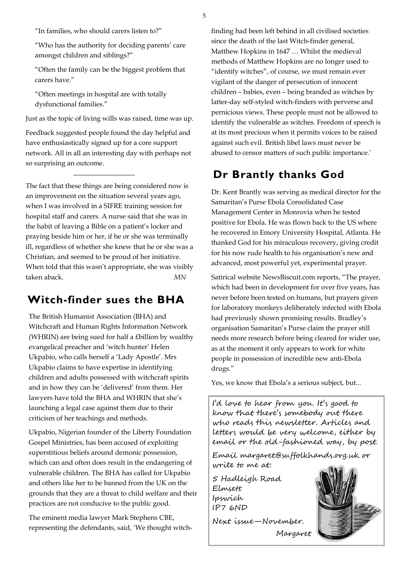5

"In families, who should carers listen to?"

"Who has the authority for deciding parents' care amongst children and siblings?"

"Often the family can be the biggest problem that carers have."

"Often meetings in hospital are with totally dysfunctional families."

Just as the topic of living wills was raised, time was up.

Feedback suggested people found the day helpful and have enthusiastically signed up for a core support network. All in all an interesting day with perhaps not so surprising an outcome.

The fact that these things are being considered now is an improvement on the situation several years ago, when I was involved in a SIFRE training session for hospital staff and carers. A nurse said that she was in the habit of leaving a Bible on a patient's locker and praying beside him or her, if he or she was terminally ill, regardless of whether she knew that he or she was a Christian, and seemed to be proud of her initiative. When told that this wasn't appropriate, she was visibly taken aback. *MN*

#### **Witch-finder sues the BHA**

The British Humanist Association (BHA) and Witchcraft and Human Rights Information Network (WHRIN) are being sued for half a £billion by wealthy evangelical preacher and 'witch hunter' Helen Ukpabio, who calls herself a 'Lady Apostle'. Mrs Ukpabio claims to have expertise in identifying children and adults possessed with witchcraft spirits and in how they can be 'delivered' from them. Her lawyers have told the BHA and WHRIN that she's launching a legal case against them due to their criticism of her teachings and methods.

Ukpabio, Nigerian founder of the Liberty Foundation Gospel Ministries, has been accused of exploiting superstitious beliefs around demonic possession, which can and often does result in the endangering of vulnerable children. The BHA has called for Ukpabio and others like her to be banned from the UK on the grounds that they are a threat to child welfare and their practices are not conducive to the public good.

The eminent media lawyer Mark Stephens CBE, representing the defendants, said, 'We thought witchfinding had been left behind in all civilised societies since the death of the last Witch-finder general, Matthew Hopkins in 1647 … Whilst the medieval methods of Matthew Hopkins are no longer used to "identify witches", of course, we must remain ever vigilant of the danger of persecution of innocent children – babies, even – being branded as witches by latter-day self-styled witch-finders with perverse and pernicious views. These people must not be allowed to identify the vulnerable as witches. Freedom of speech is at its most precious when it permits voices to be raised against such evil. British libel laws must never be abused to censor matters of such public importance.'

#### **Dr Brantly thanks God**

Dr. Kent Brantly was serving as medical director for the Samaritan's Purse Ebola Consolidated Case Management Center in Monrovia when he tested positive for Ebola. He was flown back to the US where he recovered in Emory University Hospital, Atlanta. He thanked God for his miraculous recovery, giving credit for his now rude health to his organisation's new and advanced, most powerful yet, experimental prayer.

Satirical website NewsBiscuit.com reports, "The prayer, which had been in development for over five years, has never before been tested on humans, but prayers given for laboratory monkeys deliberately infected with Ebola had previously shown promising results. Bradley's organisation Samaritan's Purse claim the prayer still needs more research before being cleared for wider use, as at the moment it only appears to work for white people in possession of incredible new anti-Ebola drugs."

Yes, we know that Ebola's a serious subject, but...

I'd love to hear from you. It's good to know that there's somebody out there who reads this newsletter. Articles and letters would be very welcome, either by email or the old-fashioned way, by post.

Email margaret@suffolkhands.org.uk or write to me at:

Margaret

5 Hadleigh Road Elmsett Ipswich IP7 6ND

Next issue—November.